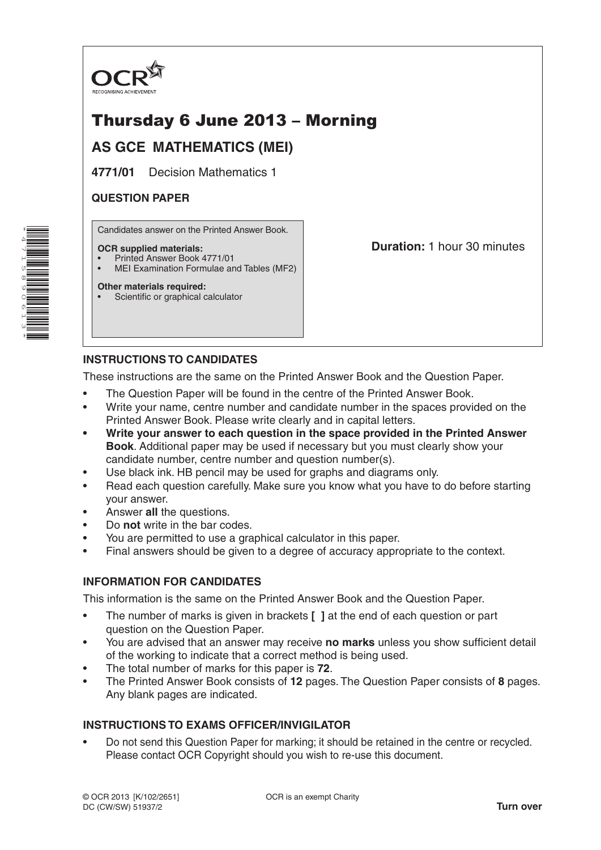

# Thursday 6 June 2013 – Morning

## **AS GCE MATHEMATICS (MEI)**

**4771/01** Decision Mathematics 1

## **QUESTION PAPER**

Candidates answer on the Printed Answer Book.

#### **OCR supplied materials:**

- Printed Answer Book 4771/01
- MEI Examination Formulae and Tables (MF2)

#### **Other materials required:**

• Scientific or graphical calculator

**Duration:** 1 hour 30 minutes

## **INSTRUCTIONS TO CANDIDATES**

These instructions are the same on the Printed Answer Book and the Question Paper.

- The Question Paper will be found in the centre of the Printed Answer Book.
- Write your name, centre number and candidate number in the spaces provided on the Printed Answer Book. Please write clearly and in capital letters.
- **• Write your answer to each question in the space provided in the Printed Answer Book**. Additional paper may be used if necessary but you must clearly show your candidate number, centre number and question number(s).
- Use black ink. HB pencil may be used for graphs and diagrams only.
- Read each question carefully. Make sure you know what you have to do before starting your answer.
- Answer **all** the questions.
- Do **not** write in the bar codes.
- You are permitted to use a graphical calculator in this paper.
- Final answers should be given to a degree of accuracy appropriate to the context.

## **INFORMATION FOR CANDIDATES**

This information is the same on the Printed Answer Book and the Question Paper.

- The number of marks is given in brackets **[ ]** at the end of each question or part question on the Question Paper.
- You are advised that an answer may receive **no marks** unless you show sufficient detail of the working to indicate that a correct method is being used.
- The total number of marks for this paper is **72**.
- The Printed Answer Book consists of **12** pages. The Question Paper consists of **8** pages. Any blank pages are indicated.

## **INSTRUCTIONS TO EXAMS OFFICER/INVIGILATOR**

• Do not send this Question Paper for marking; it should be retained in the centre or recycled. Please contact OCR Copyright should you wish to re-use this document.

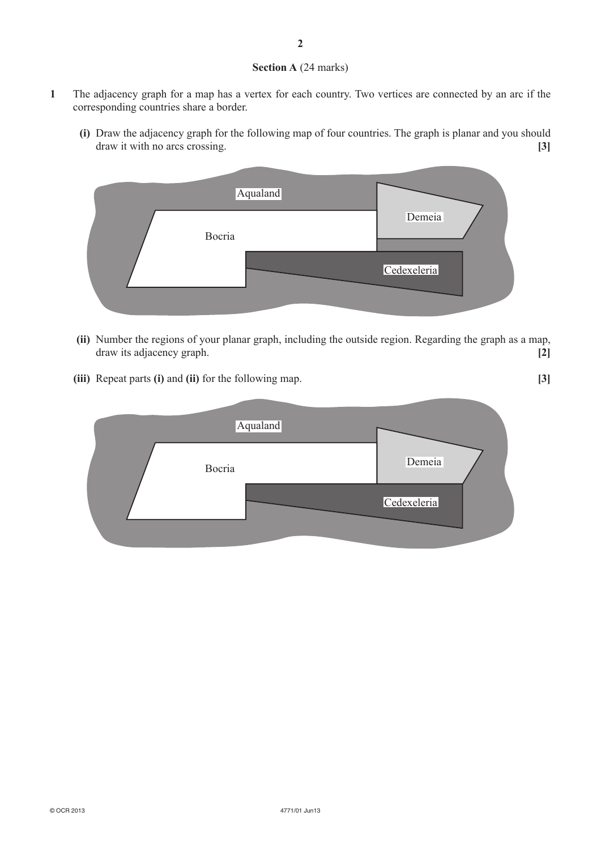#### **Section A** (24 marks)

- **1** The adjacency graph for a map has a vertex for each country. Two vertices are connected by an arc if the corresponding countries share a border.
	- **(i)** Draw the adjacency graph for the following map of four countries. The graph is planar and you should draw it with no arcs crossing. **[3]**



- **(ii)** Number the regions of your planar graph, including the outside region. Regarding the graph as a map, draw its adjacency graph. **[2]**
- **(iii)** Repeat parts **(i)** and **(ii)** for the following map. **[3]**

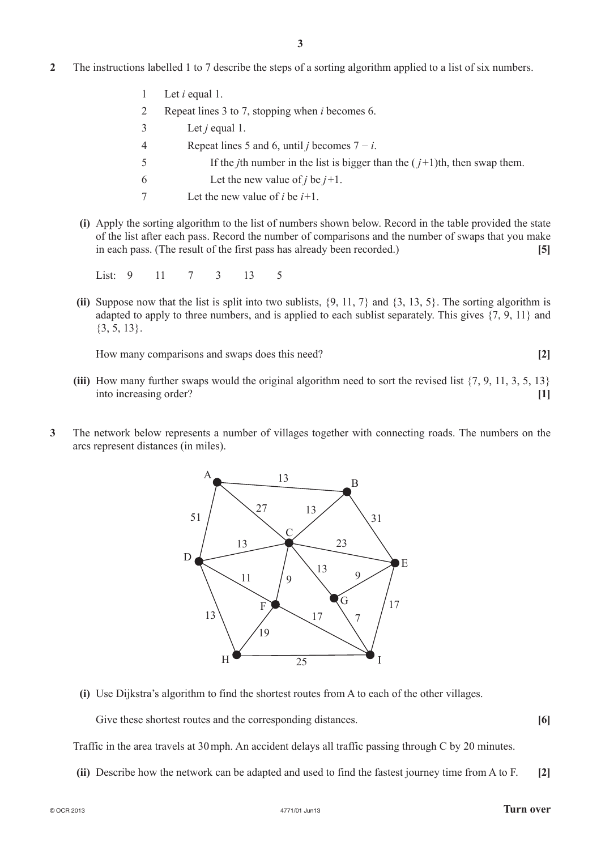**2** The instructions labelled 1 to 7 describe the steps of a sorting algorithm applied to a list of six numbers.

|                | Let $i$ equal 1.                                                                     |
|----------------|--------------------------------------------------------------------------------------|
|                | Repeat lines 3 to 7, stopping when <i>i</i> becomes 6.                               |
| 3              | Let $j$ equal 1.                                                                     |
| $\overline{4}$ | Repeat lines 5 and 6, until <i>j</i> becomes $7 - i$ .                               |
| 5              | If the <i>j</i> th number in the list is bigger than the $(j+1)$ th, then swap them. |
| 6              | Let the new value of <i>j</i> be $j+1$ .                                             |
|                | Let the new value of <i>i</i> be $i+1$ .                                             |
|                |                                                                                      |

**(i)** Apply the sorting algorithm to the list of numbers shown below. Record in the table provided the state of the list after each pass. Record the number of comparisons and the number of swaps that you make in each pass. (The result of the first pass has already been recorded.) **[5]**

List: 9 11 7 3 13 5

**(ii)** Suppose now that the list is split into two sublists, {9, 11, 7} and {3, 13, 5}. The sorting algorithm is adapted to apply to three numbers, and is applied to each sublist separately. This gives {7, 9, 11} and {3, 5, 13}.

How many comparisons and swaps does this need? **[2]**

$$
\lceil 2 \rceil
$$

- **(iii)** How many further swaps would the original algorithm need to sort the revised list {7, 9, 11, 3, 5, 13} into increasing order? **[1]**
- **3** The network below represents a number of villages together with connecting roads. The numbers on the arcs represent distances (in miles).



**(i)** Use Dijkstra's algorithm to find the shortest routes from A to each of the other villages.

**Give these shortest routes and the corresponding distances. [6]** 

Traffic in the area travels at 30mph. An accident delays all traffic passing through C by 20 minutes.

**(ii)** Describe how the network can be adapted and used to find the fastest journey time from A to F. **[2]**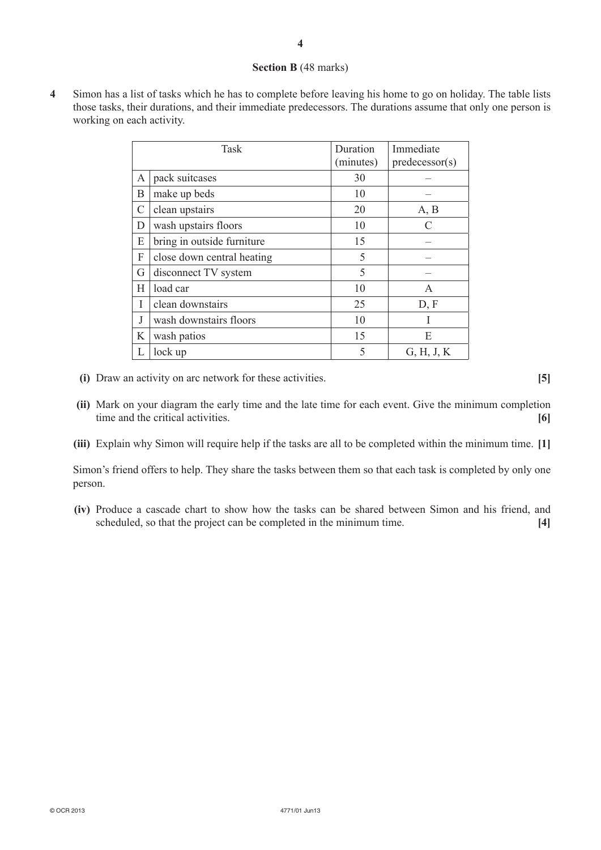#### **Section B** (48 marks)

**4** Simon has a list of tasks which he has to complete before leaving his home to go on holiday. The table lists those tasks, their durations, and their immediate predecessors. The durations assume that only one person is working on each activity.

| Task |                            | Duration<br>(minutes) | Immediate<br>predecessor(s) |
|------|----------------------------|-----------------------|-----------------------------|
| A    | pack suitcases             | 30                    |                             |
| B    | make up beds               | 10                    |                             |
| C    | clean upstairs             | 20                    | A, B                        |
| D    | wash upstairs floors       | 10                    | $\subset$                   |
| E    | bring in outside furniture | 15                    |                             |
| F    | close down central heating | 5                     |                             |
| G    | disconnect TV system       | 5                     |                             |
| H    | load car                   | 10                    | A                           |
| T    | clean downstairs           | 25                    | D, F                        |
| J    | wash downstairs floors     | 10                    |                             |
| K    | wash patios                | 15                    | E                           |
| L    | lock up                    | 5                     | G, H, J, K                  |

- **(i)** Draw an activity on arc network for these activities. **[5]**
- **(ii)** Mark on your diagram the early time and the late time for each event. Give the minimum completion time and the critical activities. **[6]**
- **(iii)** Explain why Simon will require help if the tasks are all to be completed within the minimum time. **[1]**

Simon's friend offers to help. They share the tasks between them so that each task is completed by only one person.

**(iv)** Produce a cascade chart to show how the tasks can be shared between Simon and his friend, and scheduled, so that the project can be completed in the minimum time. **[4]**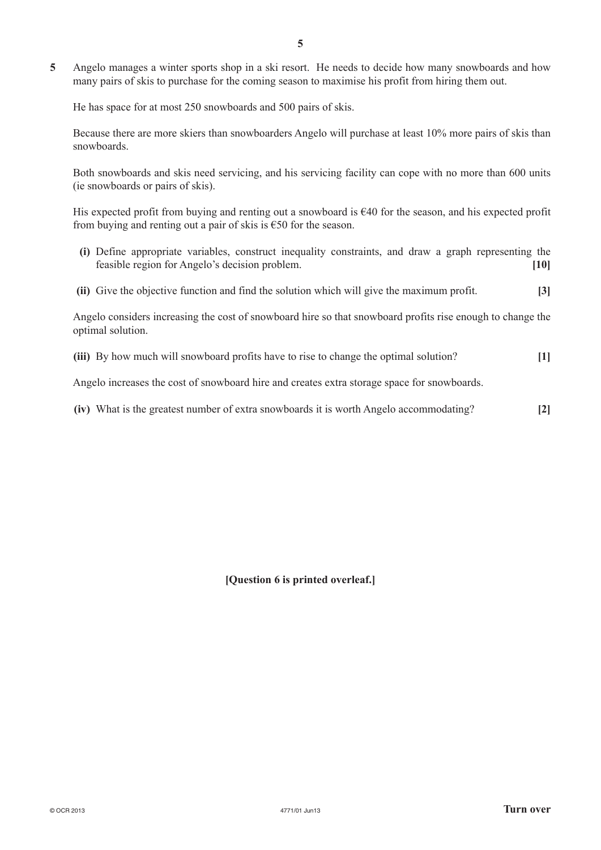**5** Angelo manages a winter sports shop in a ski resort. He needs to decide how many snowboards and how many pairs of skis to purchase for the coming season to maximise his profit from hiring them out.

He has space for at most 250 snowboards and 500 pairs of skis.

Because there are more skiers than snowboarders Angelo will purchase at least 10% more pairs of skis than snowboards.

Both snowboards and skis need servicing, and his servicing facility can cope with no more than 600 units (ie snowboards or pairs of skis).

His expected profit from buying and renting out a snowboard is  $\epsilon$ 40 for the season, and his expected profit from buying and renting out a pair of skis is  $\epsilon$ 50 for the season.

- **(i)** Define appropriate variables, construct inequality constraints, and draw a graph representing the feasible region for Angelo's decision problem. **[10]**
- **(ii)** Give the objective function and find the solution which will give the maximum profit. **[3]**

Angelo considers increasing the cost of snowboard hire so that snowboard profits rise enough to change the optimal solution.

**(iii)** By how much will snowboard profits have to rise to change the optimal solution? **[1]**

Angelo increases the cost of snowboard hire and creates extra storage space for snowboards.

**(iv)** What is the greatest number of extra snowboards it is worth Angelo accommodating? **[2]**

#### **[Question 6 is printed overleaf.]**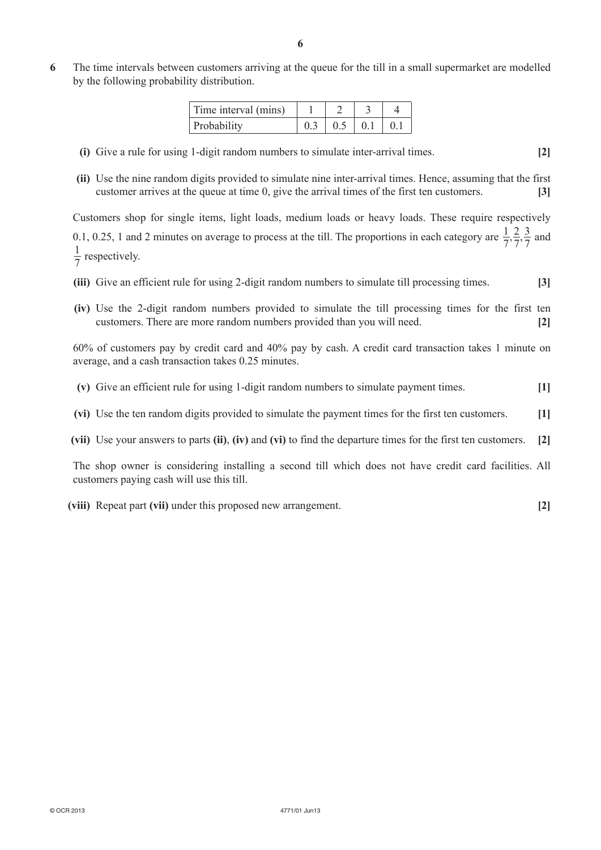**6** The time intervals between customers arriving at the queue for the till in a small supermarket are modelled by the following probability distribution.

| Time interval (mins) |  |  |
|----------------------|--|--|
| Probability          |  |  |

- **(i)** Give a rule for using 1-digit random numbers to simulate inter-arrival times. **[2]**
- **(ii)** Use the nine random digits provided to simulate nine inter-arrival times. Hence, assuming that the first customer arrives at the queue at time 0, give the arrival times of the first ten customers. **[3]**

Customers shop for single items, light loads, medium loads or heavy loads. These require respectively 0.1, 0.25, 1 and 2 minutes on average to process at the till. The proportions in each category are  $\frac{1}{7}, \frac{2}{7}$ , 7 2  $\frac{3}{7}$  and  $\frac{1}{7}$  respectively.

- **(iii)** Give an efficient rule for using 2-digit random numbers to simulate till processing times. **[3]**
- **(iv)** Use the 2-digit random numbers provided to simulate the till processing times for the first ten customers. There are more random numbers provided than you will need. **[2]**

60% of customers pay by credit card and 40% pay by cash. A credit card transaction takes 1 minute on average, and a cash transaction takes 0.25 minutes.

- **(v)** Give an efficient rule for using 1-digit random numbers to simulate payment times. **[1]**
- **(vi)** Use the ten random digits provided to simulate the payment times for the first ten customers. **[1]**

**(vii)** Use your answers to parts **(ii)**, **(iv)** and **(vi)** to find the departure times for the first ten customers. **[2]**

The shop owner is considering installing a second till which does not have credit card facilities. All customers paying cash will use this till.

**(viii)** Repeat part **(vii)** under this proposed new arrangement. **[2]**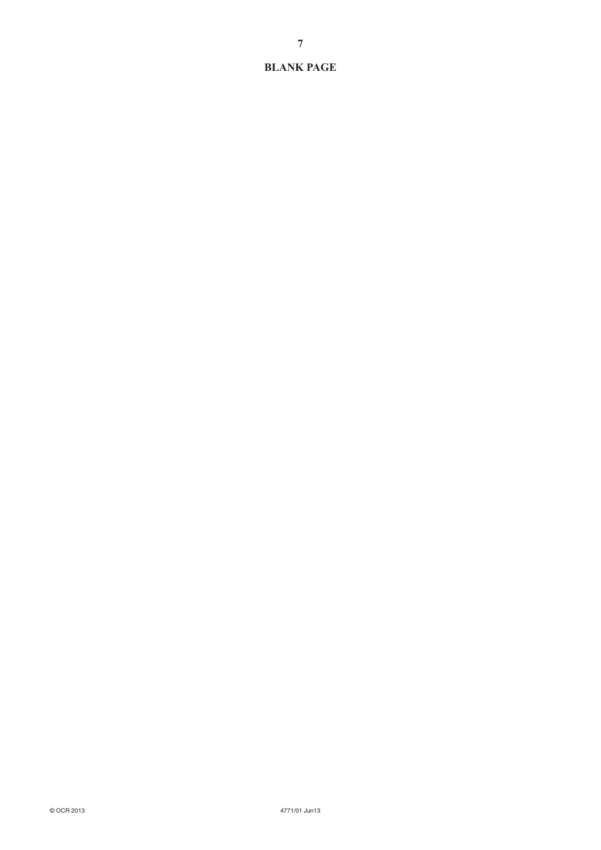### **BLANK PAGE**